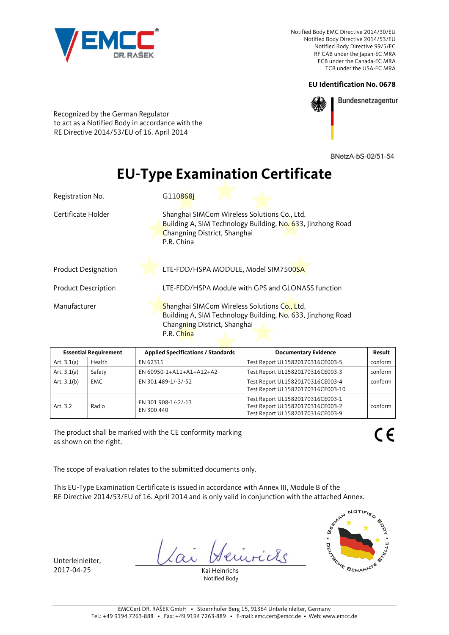

## **EU Identification No. 0678**



Bundesnetzagentur

Recognized by the German Regulator to act as a Notified Body in accordance with the RE Directive 2014/53/EU of 16. April 2014

BNetzA-bS-02/51-54

## **EU-Type Examination Certificate**

| Registration No.           | G110868L                                                                                                                                                  |  |
|----------------------------|-----------------------------------------------------------------------------------------------------------------------------------------------------------|--|
| Certificate Holder         | Shanghai SIMCom Wireless Solutions Co., Ltd.<br>Building A, SIM Technology Building, No. 633, Jinzhong Road<br>Changning District, Shanghai<br>P.R. China |  |
| <b>Product Designation</b> | LTE-FDD/HSPA MODULE, Model SIM7500SA                                                                                                                      |  |
| <b>Product Description</b> | LTE-FDD/HSPA Module with GPS and GLONASS function                                                                                                         |  |
| Manufacturer               | Shanghai SIMCom Wireless Solutions Co., Ltd.<br>Building A, SIM Technology Building, No. 633, Jinzhong Road<br>Changning District, Shanghai<br>P.R. China |  |

| <b>Essential Requirement</b> |        | <b>Applied Specifications / Standards</b> | <b>Documentary Evidence</b>                                                                              | Result  |
|------------------------------|--------|-------------------------------------------|----------------------------------------------------------------------------------------------------------|---------|
| Art. $3.1(a)$                | Health | EN 62311                                  | Test Report UL15820170316CE003-5                                                                         | conform |
| Art. $3.1(a)$                | Safety | EN 60950-1+A11+A1+A12+A2                  | Test Report UL15820170316CE003-3                                                                         | conform |
| Art. $3.1(b)$                | EMC.   | EN 301 489-1/-3/-52                       | Test Report UL15820170316CE003-4<br>Test Report UL15820170316CE003-10                                    | conform |
| Art. 3.2                     | Radio  | EN 301 908-1/-2/-13<br>EN 300 440         | Test Report UL15820170316CE003-1<br>Test Report UL15820170316CE003-2<br>Test Report UL15820170316CE003-9 | conform |

The product shall be marked with the CE conformity marking as shown on the right.

The scope of evaluation relates to the submitted documents only.

This EU-Type Examination Certificate is issued in accordance with Annex III, Module B of the RE Directive 2014/53/EU of 16. April 2014 and is only valid in conjunction with the attached Annex.

icle

Unterleinleiter, 2017-04-25 Kai Heinrichs

Notified Body

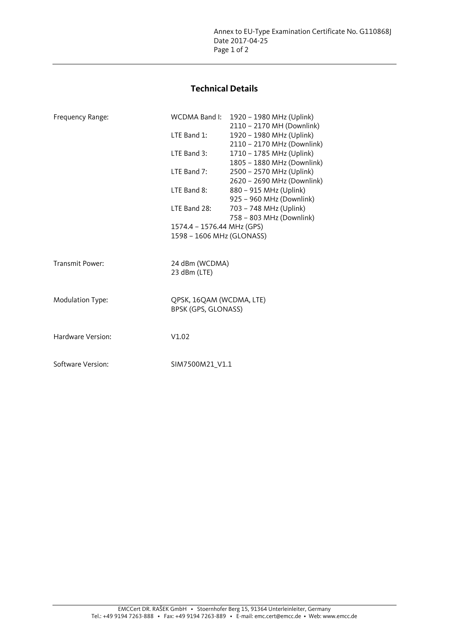## **Technical Details**

| Frequency Range:  | WCDMA Band I:                                           | 1920 - 1980 MHz (Uplink)<br>2110 - 2170 MH (Downlink)  |  |
|-------------------|---------------------------------------------------------|--------------------------------------------------------|--|
|                   | LTE Band $1$ :                                          | 1920 - 1980 MHz (Uplink)                               |  |
|                   | LTE Band 3:                                             | 2110 - 2170 MHz (Downlink)<br>1710 - 1785 MHz (Uplink) |  |
|                   | LTE Band 7:                                             | 1805 - 1880 MHz (Downlink)<br>2500 - 2570 MHz (Uplink) |  |
|                   | LTE Band 8:                                             | 2620 - 2690 MHz (Downlink)<br>880 - 915 MHz (Uplink)   |  |
|                   | LTE Band 28:                                            | 925 - 960 MHz (Downlink)<br>703 - 748 MHz (Uplink)     |  |
|                   | 1574.4 - 1576.44 MHz (GPS)<br>1598 - 1606 MHz (GLONASS) | 758 - 803 MHz (Downlink)                               |  |
|                   |                                                         |                                                        |  |
| Transmit Power:   | 24 dBm (WCDMA)<br>23 dBm (LTE)                          |                                                        |  |
| Modulation Type:  | QPSK, 16QAM (WCDMA, LTE)<br>BPSK (GPS, GLONASS)         |                                                        |  |
| Hardware Version: | V1.02                                                   |                                                        |  |
| Software Version: | SIM7500M21 V1.1                                         |                                                        |  |